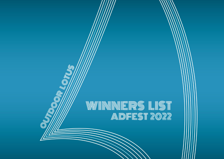# WINNNERS LIST<br>ADFEST 2022

**REAL OFFICE** 

Ĉ

C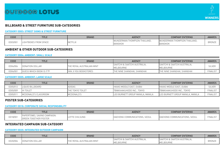

# **BILLBOARD & STREET FURNITURE SUB-CATEGORIES**

#### **CATEGORY OD03: STREET SIGNS & STREET FURNITURE**

| CODE     | <b>TITLE</b>          | <b>BRAND</b> | <b>AGENCY</b>                | <b>COMPANY ENTERING</b>      | <b>AWARDS</b> |
|----------|-----------------------|--------------|------------------------------|------------------------------|---------------|
| OD03/001 | LIGHTBOXES FROM SPACE | NETFLIX      | WUNDERMAN THOMPSON THAILAND. | WUNDERMAN THOMPSON THAILAND. | <b>BRONZE</b> |
|          |                       |              | BANGKOK                      | BANGKOK                      |               |

# **AMBIENT & OTHER OUTDOOR SUB-CATEGORIES**

#### **CATEGORY OD04: AMBIENT: SMALL SCALE**

| <b>CODE</b> | <b>TITLE</b>            | <b>BRAND</b>              | <b>AGENCY</b>                             | COMPANY ENTERING                          | <b>AWARDS</b>   |
|-------------|-------------------------|---------------------------|-------------------------------------------|-------------------------------------------|-----------------|
| OD04/006    | DONATION DOLLAR         | THE ROYAL AUSTRALIAN MINT | SAATCHI & SAATCHI AUSTRALIA.<br>MELBOURNE | SAATCHI & SAATCHI AUSTRALIA.<br>MELBOURNE | <b>SILVER</b>   |
| OD04/001    | GUESS WHICH BOOK IS IT? | IYAN JI YOU BOOKSTORES    | THE NINE SHANGHAI, SHANGHAI               | THE NINE SHANGHAI, SHANGHAI               | <b>FINALIST</b> |

#### **CATEGORY OD05: AMBIENT: LARGE SCALE**

| CODE     | TITLE                | <b>BRAND</b>             | <b>AGENCY</b>                    | <b>COMPANY ENTERING</b>          | <b>AWARDS</b>   |
|----------|----------------------|--------------------------|----------------------------------|----------------------------------|-----------------|
| OD05/012 | LIQUID BILLBOARD     | <b>ADIDAS</b>            | HAVAS MIDDLE EAST, DUBAI         | <b>HAVAS MIDDLE EAST, DUBAI</b>  | <b>SILVEF</b>   |
| OD05/009 | <b>HI TOILET</b>     | <b>ITHE TOKYO TOILET</b> | TBWA\HAKUHODO INC., TOKYO        | TBWA\HAKUHODO INC., TOKYO        | <b>FINALIST</b> |
| OD05/011 | MCDONALD'S CLASSROOM | MCDONALD'S               | LEO BURNETT GROUP MANILA, MANILA | LEO BURNETT GROUP MANILA, MANILA | <b>FINALIST</b> |

## **POSTER SUB-CATEGORIES**

#### **CATEGORY OD18: CORPORATE SOCIAL RESPONSIBILITY**

| <b>CODE</b> | <b>TITLE</b>                                                         | <b>BRAND</b>                       | <b>AGENCY</b>                 | <b>COMPANY ENTERING</b>       | <b>AWARDS</b>  |
|-------------|----------------------------------------------------------------------|------------------------------------|-------------------------------|-------------------------------|----------------|
| OD18/001    | <b>PAPERTOWEL SAVING CAMPAIGN:</b><br><b>TOGETHER POSTER</b><br>IGR∟ | <b><i>TE CHILSUNG</i></b><br>- U I | DAEHONG COMMUNICATIONS, SEOUL | DAEHONG COMMUNICATIONS, SEOUL | <b>FINALIS</b> |

## **INTEGRATED CAMPAIGN SUB-CATEGORY**

#### **CATEGORY OD20: INTEGRATED OUTDOOR CAMPAIGN**

| CODE     | <b>TITLE</b>            | <b>BRAND</b>            | <b>AGENCY</b>                | <b>COMPANY ENTERING</b>      | <b>AWARDS</b> |
|----------|-------------------------|-------------------------|------------------------------|------------------------------|---------------|
| OD20/006 | <b>IDONATION DOLLAR</b> | : ROYAL AUSTRALIAN MINT | SAATCHI & SAATCHI AUSTRALIA. | SAATCHI & SAATCHI AUSTRALIA. | <b>BRONZE</b> |
|          |                         |                         | <b>IELBOURNE</b>             | MELBOURNE                    |               |